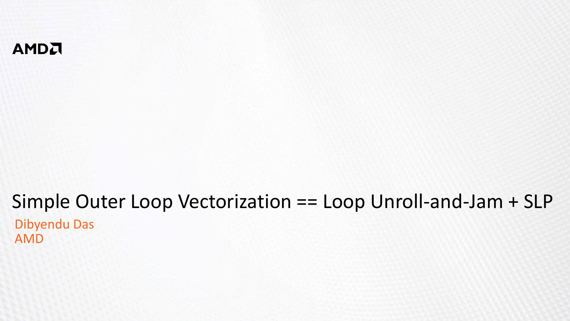#### AMDA

#### Simple Outer Loop Vectorization == Loop Unroll-and-Jam + SLP Dibyendu Das AMD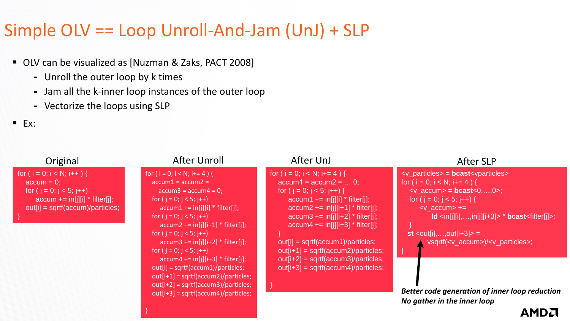## Simple OLV == Loop Unroll-And-Jam (UnJ) + SLP

- OLV can be visualized as [Nuzman & Zaks, PACT 2008]
	- ⁃ Unroll the outer loop by k times
	- ⁃ Jam all the k-inner loop instances of the outer loop

}

- ⁃ Vectorize the loops using SLP
- $E$  Ex:

for

}

| Original                                                                                                                                             | <b>After Unroll</b>                                                                                                                                                                                                                                                                                                                                                                                                                                                                                                                                                                                                     | After UnJ                                                                                                                                                                                                                                                                                                                                                                                                                                                                                    | <b>After SLP</b>                                                                                                                                                                                                                                                                                                                                                                                                                                                                                                                                                                    |
|------------------------------------------------------------------------------------------------------------------------------------------------------|-------------------------------------------------------------------------------------------------------------------------------------------------------------------------------------------------------------------------------------------------------------------------------------------------------------------------------------------------------------------------------------------------------------------------------------------------------------------------------------------------------------------------------------------------------------------------------------------------------------------------|----------------------------------------------------------------------------------------------------------------------------------------------------------------------------------------------------------------------------------------------------------------------------------------------------------------------------------------------------------------------------------------------------------------------------------------------------------------------------------------------|-------------------------------------------------------------------------------------------------------------------------------------------------------------------------------------------------------------------------------------------------------------------------------------------------------------------------------------------------------------------------------------------------------------------------------------------------------------------------------------------------------------------------------------------------------------------------------------|
| $(i = 0; i < N; i++)$ {<br>accum = 0;<br>for ( $j = 0$ ; $j < 5$ ; $j++$ )<br>$accum == in[i][i] * filter[i];$<br>$out[i] = sqrtf(accum)/particles;$ | for (i = 0; i < N; i+= 4 ) {<br>$\text{accum1} = \text{accum2} =$<br>$accum3 = accum4 = 0;$<br>for $(j = 0; j < 5; j++)$<br>$\text{accum1} += \text{in}[j][i] * \text{filter}[j];$<br>for $(j = 0; j < 5; j++)$<br>$\text{accum2}$ += $\text{in}[j][i+1]$ * filter[j];<br>for ( $j = 0$ ; $j < 5$ ; $j++)$<br>$\text{accum3}$ += $\text{in}[j][i+2]$ * filter[j];<br>for $(j = 0; j < 5; j++)$<br>$\text{accum4}$ += $\text{in}[i][i+3]$ * filter[j];<br>$out[i] = sqrtf(accum1)/particles;$<br>$out[i+1] = sqrtf(accum2)/particles;$<br>$out[i+2] = sqrtf(accum3)/particles;$<br>$out[i+3] = sqrtf(accum4)/particles;$ | for ( $i = 0$ ; $i < N$ ; $i+=4$ ) {<br>$accum1 = accum2 =  0;$<br>for ( $j = 0$ ; $j < 5$ ; $j++$ ) {<br>$\alpha$ ccum1 += in[j][i] * filter[j];<br>$\text{accum2}$ += $\text{in}[j][i+1]$ * filter[j];<br>$\text{accum3} += \text{in}[j][i+2] * \text{filter}[j];$<br>$\text{accum4}$ += $\text{in}$ [i][i+3] * filter[i];<br>out[i] = sqrtf(accum1)/particles;<br>$out[i+1] = sqrtf(accum2)/particles;$<br>$out[i+2] = sqrtf(accum3)/particles;$<br>$out[i+3] = sqrtf(accum4)/particles;$ | <v_particles> = <b>bcast</b><vparticles><br/>for (i = 0; i &lt; N; i+= 4) {<br/><math>\langle v_a^2 \rangle = \text{locast}(-0, \ldots, 0)</math><br/>for <math>(i = 0; j &lt; 5; j++)</math> {<br/><math>&lt;</math>v accum<math>&gt;</math> +=<br/><math>\mathsf{Id}</math> <in[j][i],,in[j][i+3]> * bcast<filter[j]>;<br/><b>st</b> &lt; out[i], , out[i+3] &gt; =<br/>vsqrtf(<v_accum>)/<v_particles>;<br/>Better code generation of inner loop reduction<br/>No gather in the inner loop</v_particles></v_accum></filter[j]></in[j][i],,in[j][i+3]></vparticles></v_particles> |
|                                                                                                                                                      |                                                                                                                                                                                                                                                                                                                                                                                                                                                                                                                                                                                                                         |                                                                                                                                                                                                                                                                                                                                                                                                                                                                                              |                                                                                                                                                                                                                                                                                                                                                                                                                                                                                                                                                                                     |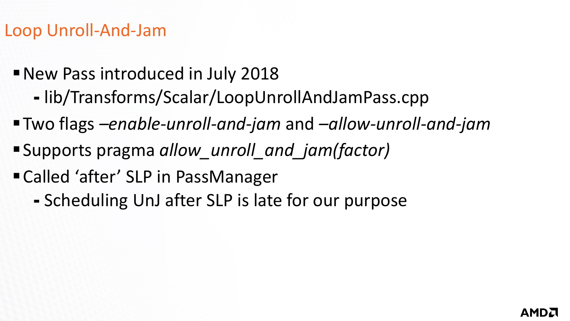# Loop Unroll-And-Jam

- New Pass introduced in July 2018
	- ⁃ lib/Transforms/Scalar/LoopUnrollAndJamPass.cpp
- ▪Two flags *–enable-unroll-and-jam* and *–allow-unroll-and-jam*
- ▪Supports pragma *allow\_unroll\_and\_jam(factor)*
- Called 'after' SLP in PassManager
	- ⁃ Scheduling UnJ after SLP is late for our purpose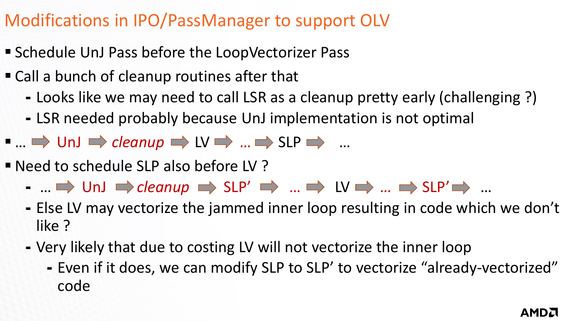# Modifications in IPO/PassManager to support OLV

- Schedule UnJ Pass before the LoopVectorizer Pass
- Call a bunch of cleanup routines after that
	- ⁃ Looks like we may need to call LSR as a cleanup pretty early (challenging ?)
	- LSR needed probably because UnJ implementation is not optimal
- $\blacksquare$  …  $\Rightarrow$  UnJ  $\Rightarrow$  *cleanup*  $\Rightarrow$  LV  $\Rightarrow$  …  $\Rightarrow$  SLP  $\Rightarrow$  …
- Need to schedule SLP also before LV ?
	- **… □> UnJ □> cleanup □> SLP' ■> … ■> LV ■> … □> SLP' ■> …**
	- ⁃ Else LV may vectorize the jammed inner loop resulting in code which we don't like ?
	- ⁃ Very likely that due to costing LV will not vectorize the inner loop
		- Even if it does, we can modify SLP to SLP' to vectorize "already-vectorized" code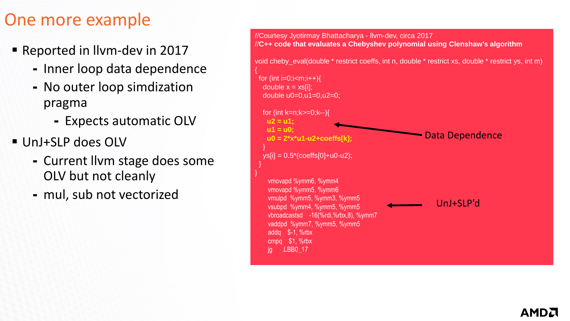### One more example

- Reported in Ilvm-dev in 2017
	- ⁃ Inner loop data dependence

{

}

- ⁃ No outer loop simdization pragma
	- ⁃ Expects automatic OLV
- UnJ+SLP does OLV
	- ⁃ Current llvm stage does some OLV but not cleanly
	- ⁃ mul, sub not vectorized

//Courtesy Jyotirmay Bhattacharya - llvm-dev, circa 2017 //**C++ code that evaluates a Chebyshev polynomial using Clenshaw's algorithm** void cheby\_eval(double \* restrict coeffs, int n, double \* restrict xs, double \* restrict ys, int m) for (int  $i=0$ ; $i; $i++$ ){$ double  $x = xs[i]$ ; double  $u0=0.u1=0.u2=0$ : for (int k=n;k>=0;k--){ **u2 = u1; u1 = u0; u0 = 2\*x\*u1-u2+coeffs[k];** }  $ys[i] = 0.5*(coeffs[0]+u0-u2);$ } vmovapd %ymm6, %ymm4 vmovapd %ymm5, %ymm6 vmulpd %ymm5, %ymm3, %ymm5 vsubpd %ymm4, %ymm5, %ymm5 vbroadcastsd -16(%rdi,%rbx,8), %ymm7 vaddpd %ymm7, %ymm5, %ymm5 addq \$-1, %rbx cmpq \$1, %rbx jg .LBB0\_17 Data Dependence UnJ+SLP'd

#### AMDI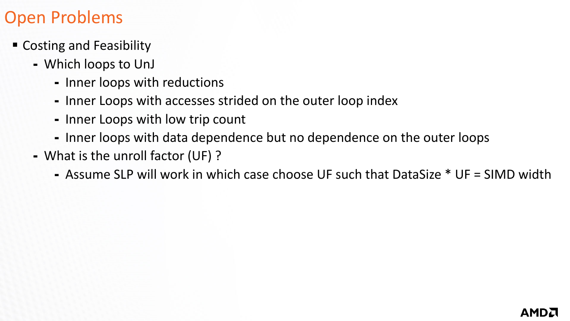# Open Problems

- Costing and Feasibility
	- ⁃ Which loops to UnJ
		- ⁃ Inner loops with reductions
		- ⁃ Inner Loops with accesses strided on the outer loop index
		- ⁃ Inner Loops with low trip count
		- ⁃ Inner loops with data dependence but no dependence on the outer loops
	- ⁃ What is the unroll factor (UF) ?
		- ⁃ Assume SLP will work in which case choose UF such that DataSize \* UF = SIMD width